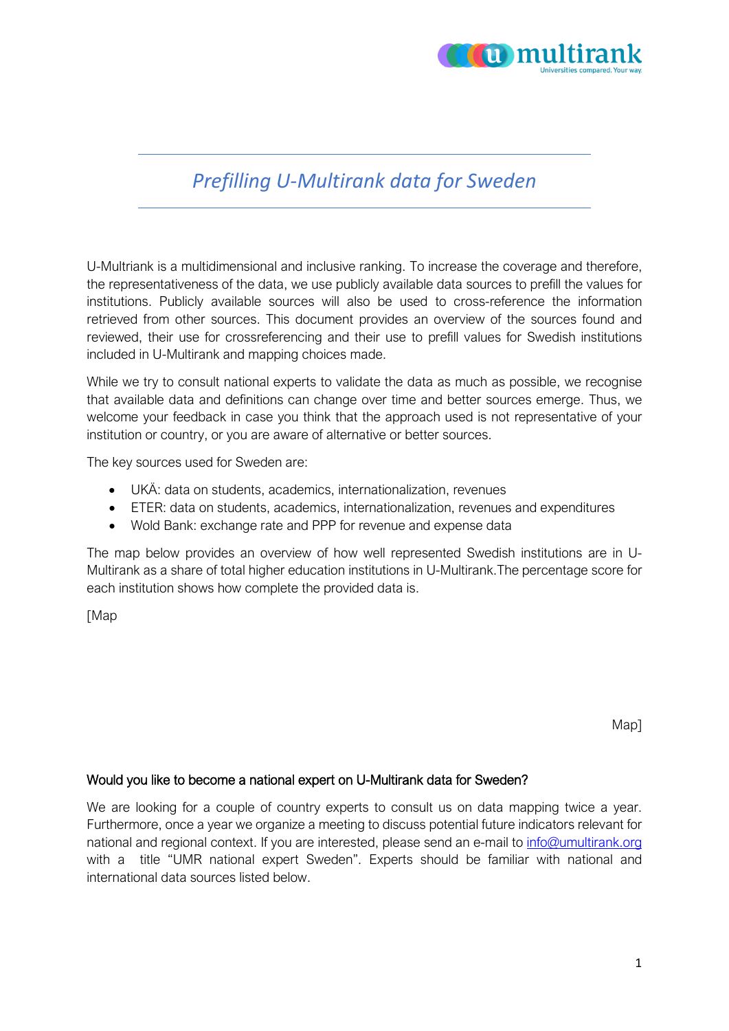

# *Prefilling U-Multirank data for Sweden*

U-Multriank is a multidimensional and inclusive ranking. To increase the coverage and therefore, the representativeness of the data, we use publicly available data sources to prefill the values for institutions. Publicly available sources will also be used to cross-reference the information retrieved from other sources. This document provides an overview of the sources found and reviewed, their use for crossreferencing and their use to prefill values for Swedish institutions included in U-Multirank and mapping choices made.

While we try to consult national experts to validate the data as much as possible, we recognise that available data and definitions can change over time and better sources emerge. Thus, we welcome your feedback in case you think that the approach used is not representative of your institution or country, or you are aware of alternative or better sources.

The key sources used for Sweden are:

- UKÄ: data on students, academics, internationalization, revenues
- ETER: data on students, academics, internationalization, revenues and expenditures
- Wold Bank: exchange rate and PPP for revenue and expense data

The map below provides an overview of how well represented Swedish institutions are in U-Multirank as a share of total higher education institutions in U-Multirank.The percentage score for each institution shows how complete the provided data is.

[Map

Map]

#### Would you like to become a national expert on U-Multirank data for Sweden?

We are looking for a couple of country experts to consult us on data mapping twice a year. Furthermore, once a year we organize a meeting to discuss potential future indicators relevant for national and regional context. If you are interested, please send an e-mail to [info@umultirank.org](mailto:info@umultirank.org) with a title "UMR national expert Sweden". Experts should be familiar with national and international data sources listed below.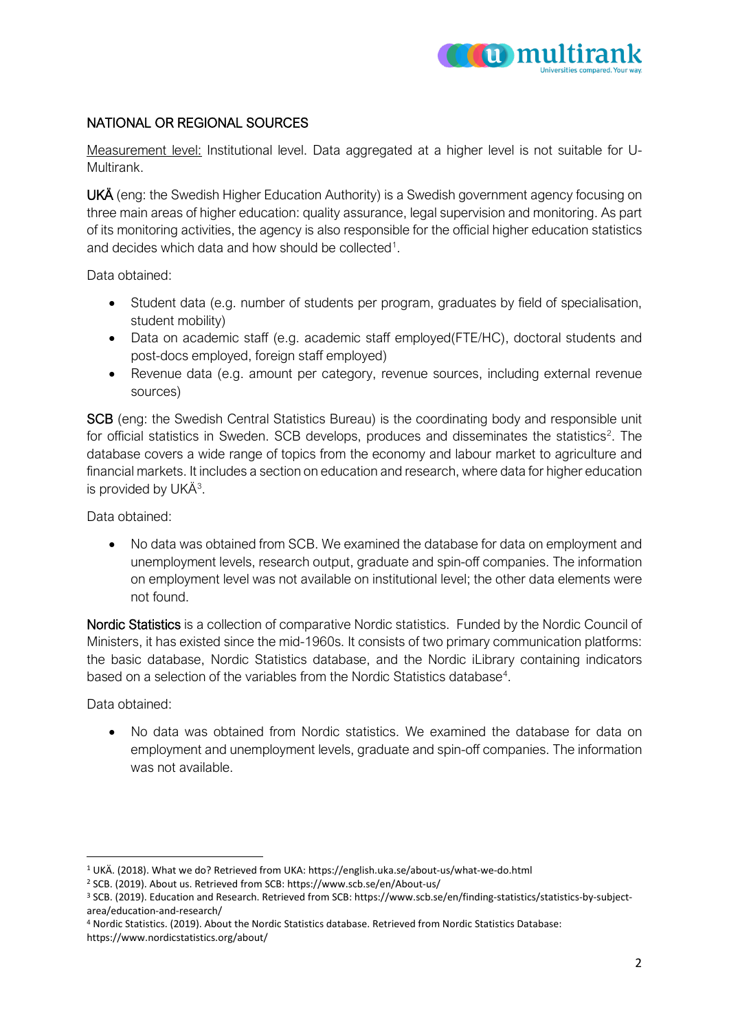

## NATIONAL OR REGIONAL SOURCES

Measurement level: Institutional level. Data aggregated at a higher level is not suitable for U-Multirank.

UKÄ (eng: the Swedish Higher Education Authority) is a Swedish government agency focusing on three main areas of higher education: quality assurance, legal supervision and monitoring. As part of its monitoring activities, the agency is also responsible for the official higher education statistics and decides which data and how should be collected<sup>[1](#page-1-0)</sup>.

Data obtained:

- Student data (e.g. number of students per program, graduates by field of specialisation, student mobility)
- Data on academic staff (e.g. academic staff employed(FTE/HC), doctoral students and post-docs employed, foreign staff employed)
- Revenue data (e.g. amount per category, revenue sources, including external revenue sources)

SCB (eng: the Swedish Central Statistics Bureau) is the coordinating body and responsible unit for official statistics in Sweden. SCB develops, produces and disseminates the statistics<sup>[2](#page-1-1)</sup>. The database covers a wide range of topics from the economy and labour market to agriculture and financial markets. It includes a section on education and research, where data for higher education is provided by UKÄ<sup>[3](#page-1-2)</sup>.

Data obtained:

• No data was obtained from SCB. We examined the database for data on employment and unemployment levels, research output, graduate and spin-off companies. The information on employment level was not available on institutional level; the other data elements were not found.

Nordic Statistics is a collection of comparative Nordic statistics. Funded by the Nordic Council of Ministers, it has existed since the mid-1960s. It consists of two primary communication platforms: the basic database, Nordic Statistics database, and the Nordic iLibrary containing indicators based on a selection of the variables from the Nordic Statistics database<sup>[4](#page-1-3)</sup>.

Data obtained:

• No data was obtained from Nordic statistics. We examined the database for data on employment and unemployment levels, graduate and spin-off companies. The information was not available.

<span id="page-1-0"></span><sup>1</sup> UKÄ. (2018). What we do? Retrieved from UKA: https://english.uka.se/about-us/what-we-do.html

<span id="page-1-1"></span><sup>2</sup> SCB. (2019). About us. Retrieved from SCB: https://www.scb.se/en/About-us/

<span id="page-1-2"></span><sup>3</sup> SCB. (2019). Education and Research. Retrieved from SCB: https://www.scb.se/en/finding-statistics/statistics-by-subjectarea/education-and-research/

<span id="page-1-3"></span><sup>4</sup> Nordic Statistics. (2019). About the Nordic Statistics database. Retrieved from Nordic Statistics Database: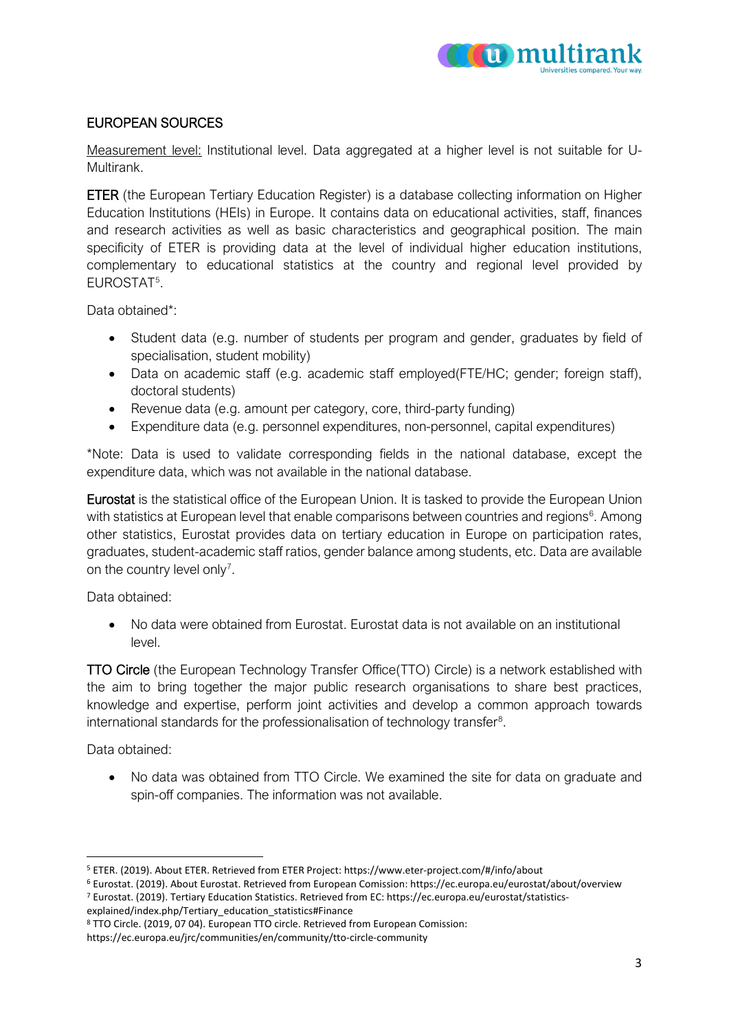

### EUROPEAN SOURCES

Measurement level: Institutional level. Data aggregated at a higher level is not suitable for U-Multirank.

ETER (the European Tertiary Education Register) is a database collecting information on Higher Education Institutions (HEIs) in Europe. It contains data on educational activities, staff, finances and research activities as well as basic characteristics and geographical position. The main specificity of ETER is providing data at the level of individual higher education institutions, complementary to educational statistics at the country and regional level provided by EUROSTAT[5](#page-2-0) .

Data obtained\*:

- Student data (e.g. number of students per program and gender, graduates by field of specialisation, student mobility)
- Data on academic staff (e.g. academic staff employed(FTE/HC; gender; foreign staff), doctoral students)
- Revenue data (e.g. amount per category, core, third-party funding)
- Expenditure data (e.g. personnel expenditures, non-personnel, capital expenditures)

\*Note: Data is used to validate corresponding fields in the national database, except the expenditure data, which was not available in the national database.

Eurostat is the statistical office of the European Union. It is tasked to provide the European Union with statistics at European level that enable comparisons between countries and regions<sup>[6](#page-2-1)</sup>. Among other statistics, Eurostat provides data on tertiary education in Europe on participation rates, graduates, student-academic staff ratios, gender balance among students, etc. Data are available on the country level only<sup>[7](#page-2-2)</sup>.

Data obtained:

• No data were obtained from Eurostat. Eurostat data is not available on an institutional level.

TTO Circle (the European Technology Transfer Office(TTO) Circle) is a network established with the aim to bring together the major public research organisations to share best practices, knowledge and expertise, perform joint activities and develop a common approach towards international standards for the professionalisation of technology transfer $8$ .

Data obtained:

• No data was obtained from TTO Circle. We examined the site for data on graduate and spin-off companies. The information was not available.

<span id="page-2-0"></span><sup>5</sup> ETER. (2019). About ETER. Retrieved from ETER Project: https://www.eter-project.com/#/info/about

<span id="page-2-2"></span><span id="page-2-1"></span><sup>6</sup> Eurostat. (2019). About Eurostat. Retrieved from European Comission: https://ec.europa.eu/eurostat/about/overview <sup>7</sup> Eurostat. (2019). Tertiary Education Statistics. Retrieved from EC: https://ec.europa.eu/eurostat/statisticsexplained/index.php/Tertiary\_education\_statistics#Finance

<span id="page-2-3"></span><sup>8</sup> TTO Circle. (2019, 07 04). European TTO circle. Retrieved from European Comission:

https://ec.europa.eu/jrc/communities/en/community/tto-circle-community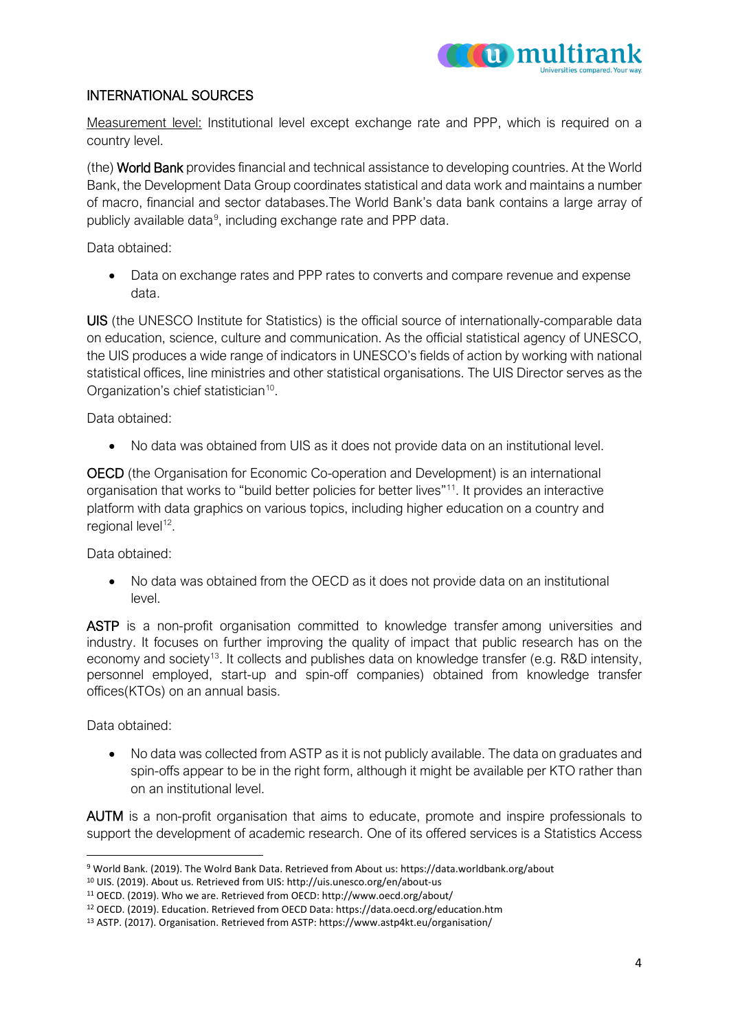

#### INTERNATIONAL SOURCES

Measurement level: Institutional level except exchange rate and PPP, which is required on a country level.

(the) World Bank provides financial and technical assistance to developing countries. At the World Bank, the Development Data Group coordinates statistical and data work and maintains a number of macro, financial and sector databases.The World Bank's data bank contains a large array of publicly available data<sup>[9](#page-3-0)</sup>, including exchange rate and PPP data.

Data obtained:

• Data on exchange rates and PPP rates to converts and compare revenue and expense data.

UIS (the UNESCO Institute for Statistics) is the official source of internationally-comparable data on education, science, culture and communication. As the official statistical agency of UNESCO, the UIS produces a wide range of indicators in UNESCO's fields of action by working with national statistical offices, line ministries and other statistical organisations. The UIS Director serves as the Organization's chief statistician<sup>[10](#page-3-1)</sup>.

Data obtained:

• No data was obtained from UIS as it does not provide data on an institutional level.

OECD (the Organisation for Economic Co-operation and Development) is an international organisation that works to "build better policies for better lives"[11](#page-3-2). It provides an interactive platform with data graphics on various topics, including higher education on a country and regional level<sup>[12](#page-3-3)</sup>.

Data obtained:

• No data was obtained from the OECD as it does not provide data on an institutional level.

ASTP is a non-profit organisation committed to knowledge transfer among universities and industry. It focuses on further improving the quality of impact that public research has on the economy and society<sup>13</sup>. It collects and publishes data on knowledge transfer (e.g. R&D intensity, personnel employed, start-up and spin-off companies) obtained from knowledge transfer offices(KTOs) on an annual basis.

Data obtained:

• No data was collected from ASTP as it is not publicly available. The data on graduates and spin-offs appear to be in the right form, although it might be available per KTO rather than on an institutional level.

AUTM is a non-profit organisation that aims to educate, promote and inspire professionals to support the development of academic research. One of its offered services is a Statistics Access

<span id="page-3-0"></span><sup>9</sup> World Bank. (2019). The Wolrd Bank Data. Retrieved from About us: https://data.worldbank.org/about

<sup>10</sup> UIS. (2019). About us. Retrieved from UIS: http://uis.unesco.org/en/about-us

<span id="page-3-3"></span><span id="page-3-2"></span><span id="page-3-1"></span><sup>11</sup> OECD. (2019). Who we are. Retrieved from OECD: http://www.oecd.org/about/

<sup>12</sup> OECD. (2019). Education. Retrieved from OECD Data: https://data.oecd.org/education.htm

<span id="page-3-4"></span><sup>13</sup> ASTP. (2017). Organisation. Retrieved from ASTP: https://www.astp4kt.eu/organisation/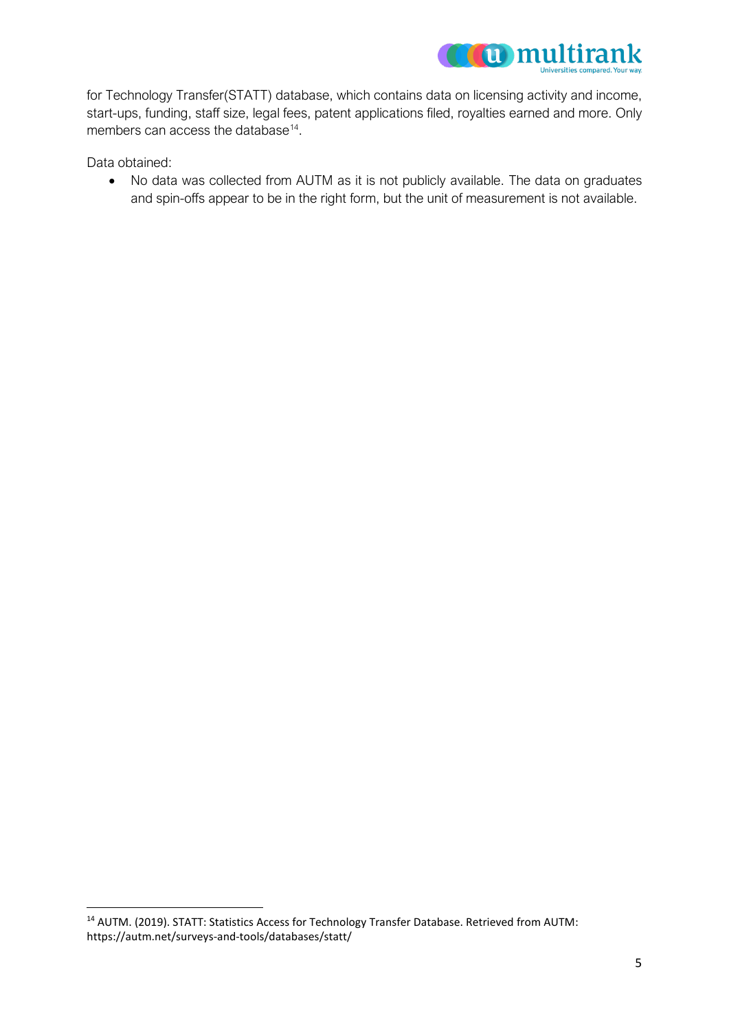

for Technology Transfer(STATT) database, which contains data on licensing activity and income, start-ups, funding, staff size, legal fees, patent applications filed, royalties earned and more. Only members can access the database<sup>14</sup>.

Data obtained:

• No data was collected from AUTM as it is not publicly available. The data on graduates and spin-offs appear to be in the right form, but the unit of measurement is not available.

<span id="page-4-0"></span><sup>14</sup> AUTM. (2019). STATT: Statistics Access for Technology Transfer Database. Retrieved from AUTM: https://autm.net/surveys-and-tools/databases/statt/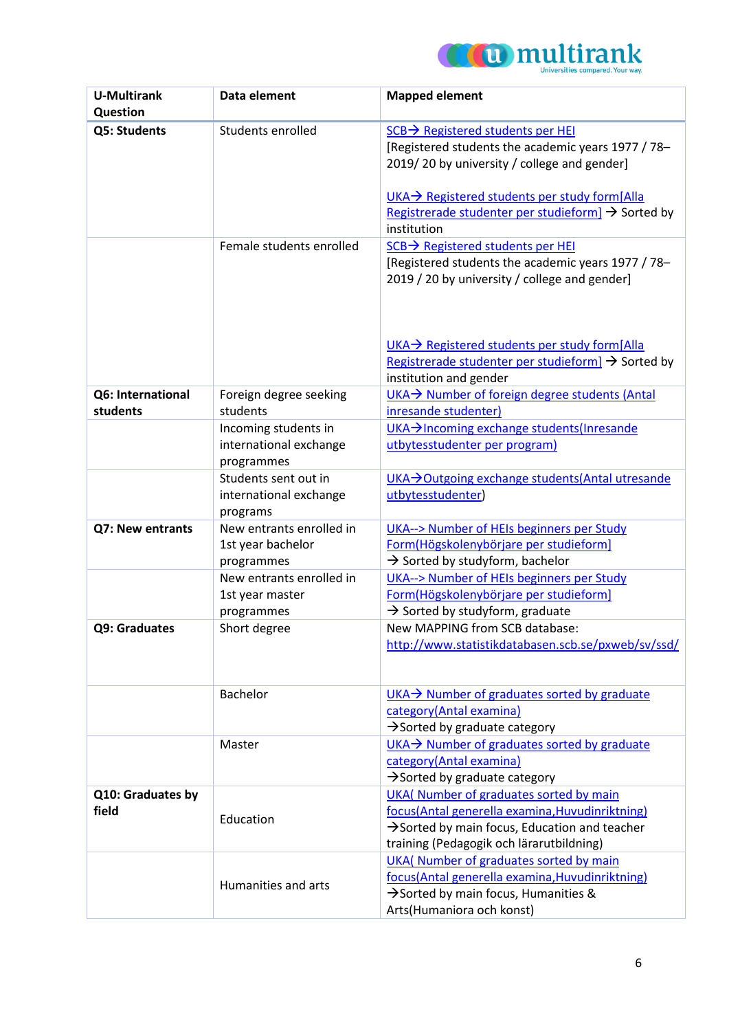

| <b>U-Multirank</b><br>Question | Data element                                                 | <b>Mapped element</b>                                                                                                                                                                                                                                                                |
|--------------------------------|--------------------------------------------------------------|--------------------------------------------------------------------------------------------------------------------------------------------------------------------------------------------------------------------------------------------------------------------------------------|
| Q5: Students                   | Students enrolled                                            | $SCB \rightarrow$ Registered students per HEI<br>[Registered students the academic years 1977 / 78-<br>2019/20 by university / college and gender]<br>UKA→ Registered students per study form[Alla]<br>Registrerade studenter per studieform] $\rightarrow$ Sorted by<br>institution |
|                                | Female students enrolled                                     | SCB → Registered students per HEI<br>[Registered students the academic years 1977 / 78-<br>2019 / 20 by university / college and gender]<br>UKA→ Registered students per study form[Alla<br>Registrerade studenter per studieform] $\rightarrow$ Sorted by<br>institution and gender |
| Q6: International<br>students  | Foreign degree seeking<br>students                           | UKA→ Number of foreign degree students (Antal<br>inresande studenter)                                                                                                                                                                                                                |
|                                | Incoming students in<br>international exchange<br>programmes | UKA > Incoming exchange students (Inresande<br>utbytesstudenter per program)                                                                                                                                                                                                         |
|                                | Students sent out in<br>international exchange<br>programs   | UKA→Outgoing exchange students(Antal utresande<br>utbytesstudenter)                                                                                                                                                                                                                  |
| Q7: New entrants               | New entrants enrolled in<br>1st year bachelor<br>programmes  | UKA--> Number of HEIs beginners per Study<br>Form(Högskolenybörjare per studieform]<br>$\rightarrow$ Sorted by studyform, bachelor                                                                                                                                                   |
|                                | New entrants enrolled in<br>1st year master<br>programmes    | UKA--> Number of HEIs beginners per Study<br>Form(Högskolenybörjare per studieform]<br>$\rightarrow$ Sorted by studyform, graduate                                                                                                                                                   |
| Q9: Graduates                  | Short degree                                                 | New MAPPING from SCB database:<br>http://www.statistikdatabasen.scb.se/pxweb/sv/ssd/                                                                                                                                                                                                 |
|                                | Bachelor                                                     | $UKA \rightarrow$ Number of graduates sorted by graduate<br>category(Antal examina)<br>$\rightarrow$ Sorted by graduate category                                                                                                                                                     |
|                                | Master                                                       | UKA→ Number of graduates sorted by graduate<br>category(Antal examina)<br>$\rightarrow$ Sorted by graduate category                                                                                                                                                                  |
| Q10: Graduates by<br>field     | Education                                                    | UKA( Number of graduates sorted by main<br>focus(Antal generella examina, Huvudinriktning)<br>$\rightarrow$ Sorted by main focus, Education and teacher<br>training (Pedagogik och lärarutbildning)                                                                                  |
|                                | Humanities and arts                                          | UKA( Number of graduates sorted by main<br>focus(Antal generella examina, Huvudinriktning)<br>$\rightarrow$ Sorted by main focus, Humanities &<br>Arts(Humaniora och konst)                                                                                                          |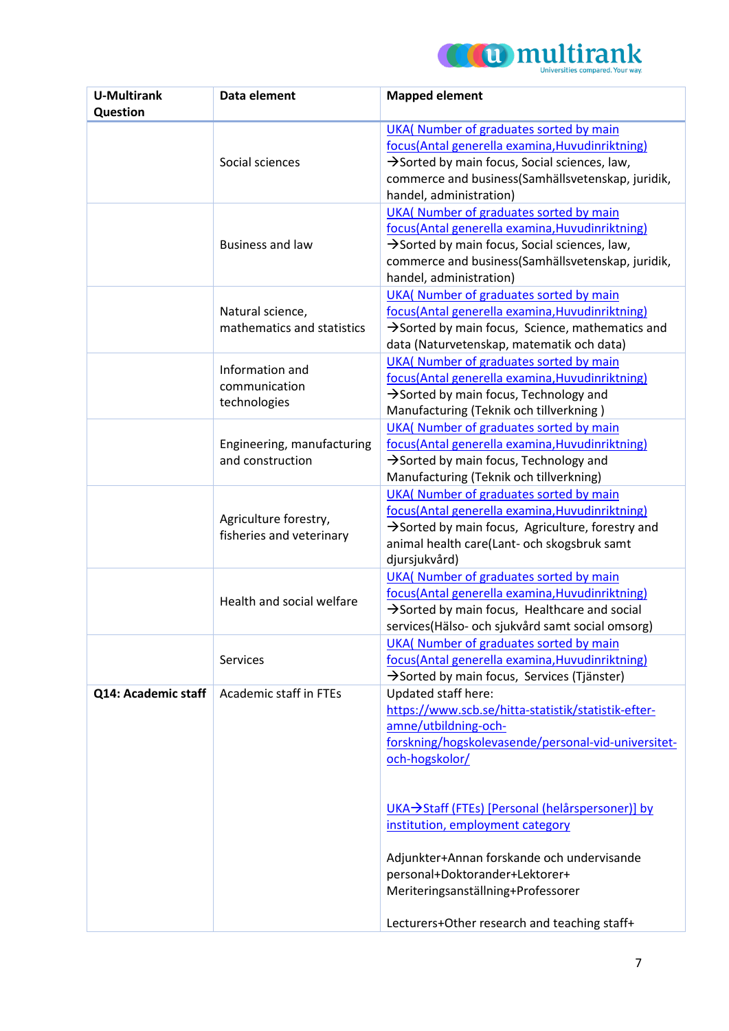

| <b>U-Multirank</b><br>Question | Data element                                      | <b>Mapped element</b>                                                                                                                                                                                                                                                                                                                                                                                                                    |
|--------------------------------|---------------------------------------------------|------------------------------------------------------------------------------------------------------------------------------------------------------------------------------------------------------------------------------------------------------------------------------------------------------------------------------------------------------------------------------------------------------------------------------------------|
|                                | Social sciences                                   | UKA( Number of graduates sorted by main<br>focus(Antal generella examina, Huvudinriktning)<br>$\rightarrow$ Sorted by main focus, Social sciences, law,<br>commerce and business(Samhällsvetenskap, juridik,<br>handel, administration)                                                                                                                                                                                                  |
|                                | <b>Business and law</b>                           | UKA( Number of graduates sorted by main<br>focus(Antal generella examina, Huvudinriktning)<br>$\rightarrow$ Sorted by main focus, Social sciences, law,<br>commerce and business(Samhällsvetenskap, juridik,<br>handel, administration)                                                                                                                                                                                                  |
|                                | Natural science,<br>mathematics and statistics    | UKA( Number of graduates sorted by main<br>focus(Antal generella examina, Huvudinriktning)<br>$\rightarrow$ Sorted by main focus, Science, mathematics and<br>data (Naturvetenskap, matematik och data)                                                                                                                                                                                                                                  |
|                                | Information and<br>communication<br>technologies  | UKA( Number of graduates sorted by main<br>focus(Antal generella examina, Huvudinriktning)<br>$\rightarrow$ Sorted by main focus, Technology and<br>Manufacturing (Teknik och tillverkning)                                                                                                                                                                                                                                              |
|                                | Engineering, manufacturing<br>and construction    | UKA( Number of graduates sorted by main<br>focus(Antal generella examina, Huvudinriktning)<br>$\rightarrow$ Sorted by main focus, Technology and<br>Manufacturing (Teknik och tillverkning)                                                                                                                                                                                                                                              |
|                                | Agriculture forestry,<br>fisheries and veterinary | UKA( Number of graduates sorted by main<br>focus(Antal generella examina, Huvudinriktning)<br>$\rightarrow$ Sorted by main focus, Agriculture, forestry and<br>animal health care(Lant- och skogsbruk samt<br>djursjukvård)                                                                                                                                                                                                              |
|                                | Health and social welfare                         | UKA( Number of graduates sorted by main<br>focus(Antal generella examina, Huvudinriktning)<br>$\rightarrow$ Sorted by main focus, Healthcare and social<br>services(Hälso- och sjukvård samt social omsorg)                                                                                                                                                                                                                              |
|                                | <b>Services</b>                                   | UKA( Number of graduates sorted by main<br>focus(Antal generella examina, Huvudinriktning)<br>Sorted by main focus, Services (Tjänster)                                                                                                                                                                                                                                                                                                  |
| Q14: Academic staff            | Academic staff in FTEs                            | Updated staff here:<br>https://www.scb.se/hitta-statistik/statistik-efter-<br>amne/utbildning-och-<br>forskning/hogskolevasende/personal-vid-universitet-<br>och-hogskolor/<br>UKA→Staff (FTEs) [Personal (helårspersoner)] by<br>institution, employment category<br>Adjunkter+Annan forskande och undervisande<br>personal+Doktorander+Lektorer+<br>Meriteringsanställning+Professorer<br>Lecturers+Other research and teaching staff+ |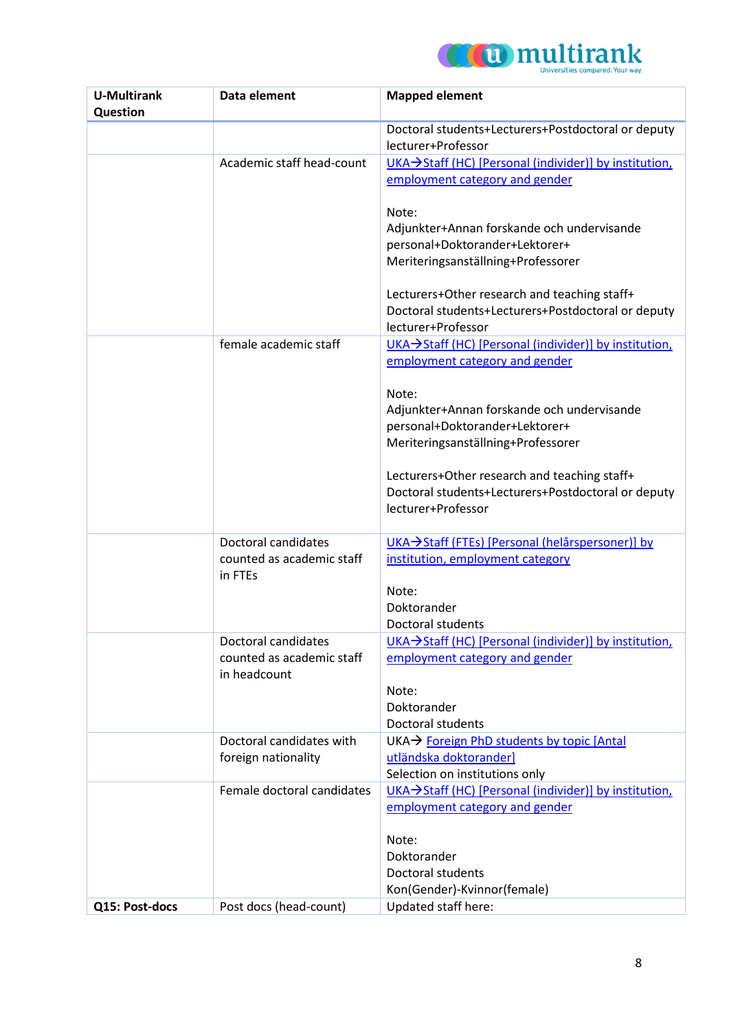

| <b>U-Multirank</b> | Data element               | <b>Mapped element</b>                                                    |
|--------------------|----------------------------|--------------------------------------------------------------------------|
| Question           |                            |                                                                          |
|                    |                            | Doctoral students+Lecturers+Postdoctoral or deputy                       |
|                    |                            | lecturer+Professor                                                       |
|                    | Academic staff head-count  | UKA→Staff (HC) [Personal (individer)] by institution,                    |
|                    |                            | employment category and gender                                           |
|                    |                            |                                                                          |
|                    |                            | Note:                                                                    |
|                    |                            | Adjunkter+Annan forskande och undervisande                               |
|                    |                            | personal+Doktorander+Lektorer+                                           |
|                    |                            | Meriteringsanställning+Professorer                                       |
|                    |                            |                                                                          |
|                    |                            | Lecturers+Other research and teaching staff+                             |
|                    |                            | Doctoral students+Lecturers+Postdoctoral or deputy<br>lecturer+Professor |
|                    | female academic staff      | UKA→Staff (HC) [Personal (individer)] by institution,                    |
|                    |                            | employment category and gender                                           |
|                    |                            |                                                                          |
|                    |                            | Note:                                                                    |
|                    |                            | Adjunkter+Annan forskande och undervisande                               |
|                    |                            | personal+Doktorander+Lektorer+                                           |
|                    |                            | Meriteringsanställning+Professorer                                       |
|                    |                            |                                                                          |
|                    |                            | Lecturers+Other research and teaching staff+                             |
|                    |                            | Doctoral students+Lecturers+Postdoctoral or deputy                       |
|                    |                            | lecturer+Professor                                                       |
|                    |                            |                                                                          |
|                    | Doctoral candidates        | UKA→Staff (FTEs) [Personal (helårspersoner)] by                          |
|                    | counted as academic staff  | institution, employment category                                         |
|                    | in FTEs                    |                                                                          |
|                    |                            | Note:                                                                    |
|                    |                            | Doktorander                                                              |
|                    |                            | <b>Doctoral students</b>                                                 |
|                    | Doctoral candidates        | UKA→Staff (HC) [Personal (individer)] by institution,                    |
|                    | counted as academic staff  | employment category and gender                                           |
|                    | in headcount               |                                                                          |
|                    |                            | Note:<br>Doktorander                                                     |
|                    |                            | <b>Doctoral students</b>                                                 |
|                    | Doctoral candidates with   | UKA → Foreign PhD students by topic [Antal                               |
|                    | foreign nationality        | utländska doktorander]                                                   |
|                    |                            | Selection on institutions only                                           |
|                    | Female doctoral candidates | UKA→Staff (HC) [Personal (individer)] by institution,                    |
|                    |                            | employment category and gender                                           |
|                    |                            |                                                                          |
|                    |                            | Note:                                                                    |
|                    |                            | Doktorander                                                              |
|                    |                            | <b>Doctoral students</b>                                                 |
|                    |                            | Kon(Gender)-Kvinnor(female)                                              |
| Q15: Post-docs     | Post docs (head-count)     | Updated staff here:                                                      |